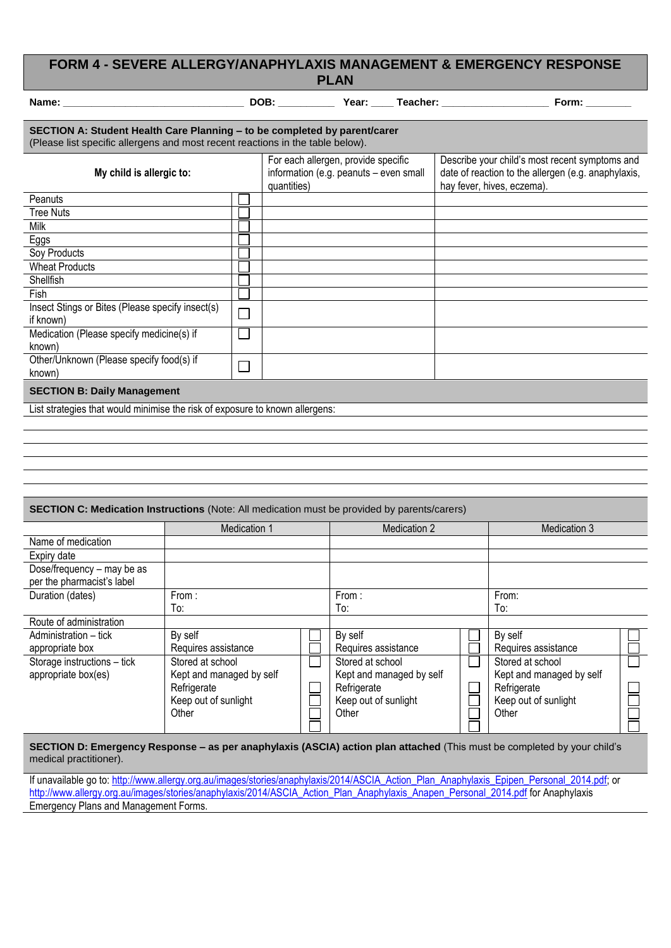## **FORM 4 - SEVERE ALLERGY/ANAPHYLAXIS MANAGEMENT & EMERGENCY RESPONSE PLAN**

|                                                                                                                                                             |                |                                                    |                                        | Form: $\_\_$                                                                                                                        |  |  |  |
|-------------------------------------------------------------------------------------------------------------------------------------------------------------|----------------|----------------------------------------------------|----------------------------------------|-------------------------------------------------------------------------------------------------------------------------------------|--|--|--|
| SECTION A: Student Health Care Planning - to be completed by parent/carer<br>(Please list specific allergens and most recent reactions in the table below). |                |                                                    |                                        |                                                                                                                                     |  |  |  |
| My child is allergic to:                                                                                                                                    |                | For each allergen, provide specific<br>quantities) | information (e.g. peanuts - even small | Describe your child's most recent symptoms and<br>date of reaction to the allergen (e.g. anaphylaxis,<br>hay fever, hives, eczema). |  |  |  |
| Peanuts                                                                                                                                                     |                |                                                    |                                        |                                                                                                                                     |  |  |  |
| <b>Tree Nuts</b>                                                                                                                                            |                |                                                    |                                        |                                                                                                                                     |  |  |  |
| Milk                                                                                                                                                        |                |                                                    |                                        |                                                                                                                                     |  |  |  |
| Eggs                                                                                                                                                        |                |                                                    |                                        |                                                                                                                                     |  |  |  |
| Soy Products                                                                                                                                                |                |                                                    |                                        |                                                                                                                                     |  |  |  |
| <b>Wheat Products</b>                                                                                                                                       |                |                                                    |                                        |                                                                                                                                     |  |  |  |
| Shellfish                                                                                                                                                   |                |                                                    |                                        |                                                                                                                                     |  |  |  |
| <b>Fish</b>                                                                                                                                                 |                |                                                    |                                        |                                                                                                                                     |  |  |  |
| Insect Stings or Bites (Please specify insect(s)                                                                                                            |                |                                                    |                                        |                                                                                                                                     |  |  |  |
| if known)                                                                                                                                                   |                |                                                    |                                        |                                                                                                                                     |  |  |  |
| Medication (Please specify medicine(s) if                                                                                                                   |                |                                                    |                                        |                                                                                                                                     |  |  |  |
| known)                                                                                                                                                      |                |                                                    |                                        |                                                                                                                                     |  |  |  |
| Other/Unknown (Please specify food(s) if                                                                                                                    | $\blacksquare$ |                                                    |                                        |                                                                                                                                     |  |  |  |
| known)                                                                                                                                                      |                |                                                    |                                        |                                                                                                                                     |  |  |  |
| <b>SECTION B: Daily Management</b>                                                                                                                          |                |                                                    |                                        |                                                                                                                                     |  |  |  |
| List strategies that would minimise the risk of exposure to known allergens:                                                                                |                |                                                    |                                        |                                                                                                                                     |  |  |  |
|                                                                                                                                                             |                |                                                    |                                        |                                                                                                                                     |  |  |  |
|                                                                                                                                                             |                |                                                    |                                        |                                                                                                                                     |  |  |  |
|                                                                                                                                                             |                |                                                    |                                        |                                                                                                                                     |  |  |  |
|                                                                                                                                                             |                |                                                    |                                        |                                                                                                                                     |  |  |  |

| <b>SECTION C: Medication Instructions</b> (Note: All medication must be provided by parents/carers) |                          |  |                          |              |                          |              |
|-----------------------------------------------------------------------------------------------------|--------------------------|--|--------------------------|--------------|--------------------------|--------------|
|                                                                                                     | Medication 1             |  | Medication 2             | Medication 3 |                          |              |
| Name of medication                                                                                  |                          |  |                          |              |                          |              |
| Expiry date                                                                                         |                          |  |                          |              |                          |              |
| Dose/frequency - may be as<br>per the pharmacist's label                                            |                          |  |                          |              |                          |              |
| Duration (dates)                                                                                    | From:                    |  | From:                    |              | From:                    |              |
|                                                                                                     | To:                      |  | To:                      |              | To:                      |              |
| Route of administration                                                                             |                          |  |                          |              |                          |              |
| Administration – tick                                                                               | By self                  |  | By self                  |              | By self                  |              |
| appropriate box                                                                                     | Requires assistance      |  | Requires assistance      |              | Requires assistance      |              |
| Storage instructions - tick                                                                         | Stored at school         |  | Stored at school         |              | Stored at school         | $\mathbf{I}$ |
| appropriate box(es)                                                                                 | Kept and managed by self |  | Kept and managed by self |              | Kept and managed by self |              |
|                                                                                                     | Refrigerate              |  | Refrigerate              |              | Refrigerate              |              |
|                                                                                                     | Keep out of sunlight     |  | Keep out of sunlight     |              | Keep out of sunlight     |              |
|                                                                                                     | Other                    |  | Other                    |              | Other                    |              |
|                                                                                                     |                          |  |                          |              |                          |              |

**SECTION D: Emergency Response – as per anaphylaxis (ASCIA) action plan attached** (This must be completed by your child's medical practitioner).

If unavailable go to[: http://www.allergy.org.au/images/stories/anaphylaxis/2014/ASCIA\\_Action\\_Plan\\_Anaphylaxis\\_Epipen\\_Personal\\_2014.pdf;](http://www.allergy.org.au/images/stories/anaphylaxis/2014/ASCIA_Action_Plan_Anaphylaxis_Epipen_Personal_2014.pdf) or [http://www.allergy.org.au/images/stories/anaphylaxis/2014/ASCIA\\_Action\\_Plan\\_Anaphylaxis\\_Anapen\\_Personal\\_2014.pdf](http://www.allergy.org.au/images/stories/anaphylaxis/2014/ASCIA_Action_Plan_Anaphylaxis_Anapen_Personal_2014.pdf) for Anaphylaxis Emergency Plans and Management Forms.